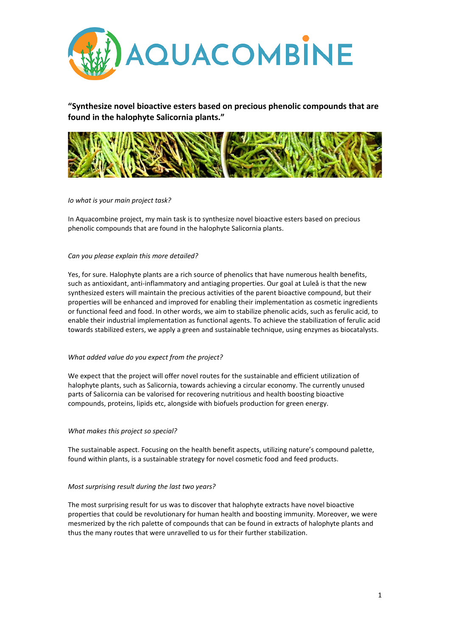

**"Synthesize novel bioactive esters based on precious phenolic compounds that are found in the halophyte Salicornia plants."**



# *Io what is your main project task?*

In Aquacombine project, my main task is to synthesize novel bioactive esters based on precious phenolic compounds that are found in the halophyte Salicornia plants.

### *Can you please explain this more detailed?*

Yes, for sure. Halophyte plants are a rich source of phenolics that have numerous health benefits, such as antioxidant, anti-inflammatory and antiaging properties. Our goal at Luleå is that the new synthesized esters will maintain the precious activities of the parent bioactive compound, but their properties will be enhanced and improved for enabling their implementation as cosmetic ingredients or functional feed and food. In other words, we aim to stabilize phenolic acids, such as ferulic acid, to enable their industrial implementation as functional agents. To achieve the stabilization of ferulic acid towards stabilized esters, we apply a green and sustainable technique, using enzymes as biocatalysts.

# *What added value do you expect from the project?*

We expect that the project will offer novel routes for the sustainable and efficient utilization of halophyte plants, such as Salicornia, towards achieving a circular economy. The currently unused parts of Salicornia can be valorised for recovering nutritious and health boosting bioactive compounds, proteins, lipids etc, alongside with biofuels production for green energy.

# *What makes this project so special?*

The sustainable aspect. Focusing on the health benefit aspects, utilizing nature's compound palette, found within plants, is a sustainable strategy for novel cosmetic food and feed products.

# *Most surprising result during the last two years?*

The most surprising result for us was to discover that halophyte extracts have novel bioactive properties that could be revolutionary for human health and boosting immunity. Moreover, we were mesmerized by the rich palette of compounds that can be found in extracts of halophyte plants and thus the many routes that were unravelled to us for their further stabilization.